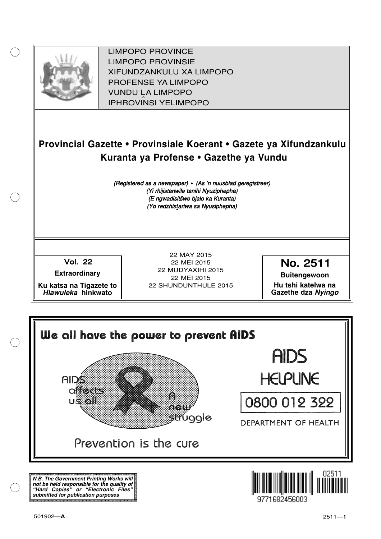

XIFUNDZANKULU XA LIMPOPO<br>PROFENCE XA LIMPORO PROFENSE YA LIMPOPO<br>WILDOLLA LIMPORO SOUTH A LIMPOPO<br>A LIPHROVINSI YELIMPOPO LIMPOPO PROVINCE LIMPOPO PROVINSIE IPHROVINSI YELIMPOPO

# **Provincial Gazette • Provinsiale Koerant • Gazete ya Xifundzankulu Kuranta ya Profense • Gazethe ya Vundu**

(Registered as a newspaper) • (As 'n nuusblad geregistreer) (Yi rhijistariwile tanihi Nyuziphepha) (E ngwadisitšwe bjalo ka Kuranta) (Yo redzhistariwa sa Nyusiphepha)

Vol.- 22

**Extraordinary**

**Ku katsa na Tigazete to Hlawuleka hinkwato**

22 MAY 2015 22 MEI 2015 22 MUDYAXIHI 2015 22 MEI 2015 22 SHUNDUNTHULE 2015

No. 2511

**Buitengewoon Hu tshi katelwa na**

**Gazethe dza Nyingo**



**N.B. The Government Printing Works will not be held responsible for the quality of "Hard Copies" or "Electronic Files" submitted for publication purposes**



9771682456003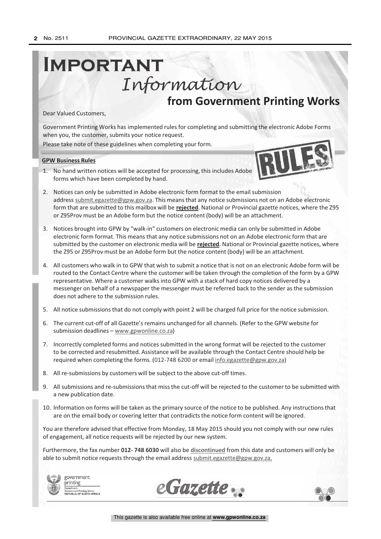# **from Government Printing Works IMPORTANT** Information

Dear Valued Customers,

Government Printing Works has implemented rules for completing and submitting the electronic Adobe Forms when you, the customer, submits your notice request.

Please take note of these guidelines when completing your form.

#### **GPW Business Rules**

1. No hand written notices will be accepted for processing, this includes Adobe forms which have been completed by hand.



- 2. Notices can only be submitted in Adobe electronic form format to the email submission address submit.egazette@gpw.gov.za. This means that any notice submissions not on an Adobe electronic form that are submitted to this mailbox will be **rejected**. National or Provincial gazette notices, where the Z95 or Z95Prov must be an Adobe form but the notice content (body) will be an attachment.
- 3. Notices brought into GPW by "walk-in" customers on electronic media can only be submitted in Adobe electronic form format. This means that any notice submissions not on an Adobe electronic form that are submitted by the customer on electronic media will be **rejected**. National or Provincial gazette notices, where the Z95 or Z95Prov must be an Adobe form but the notice content (body) will be an attachment.
- 4. All customers who walk in to GPW that wish to submit a notice that is not on an electronic Adobe form will be routed to the Contact Centre where the customer will be taken through the completion of the form by a GPW representative. Where a customer walks into GPW with a stack of hard copy notices delivered by a messenger on behalf of a newspaper the messenger must be referred back to the sender as the submission does not adhere to the submission rules.
- 5. All notice submissions that do not comply with point 2 will be charged full price for the notice submission.
- 6. The current cut-off of all Gazette's remains unchanged for all channels. (Refer to the GPW website for submission deadlines - www.gpwonline.co.za)
- 7. Incorrectly completed forms and notices submitted in the wrong format will be rejected to the customer to be corrected and resubmitted. Assistance will be available through the Contact Centre should help be required when completing the forms. (012-748 6200 or email info.egazette@gpw.gov.za)
- 8. All re-submissions by customers will be subject to the above cut-off times.
- 9. All submissions and re-submissions that miss the cut-off will be rejected to the customer to be submitted with a new publication date.
- 10. Information on forms will be taken as the primary source of the notice to be published. Any instructions that are on the email body or covering letter that contradicts the notice form content will be ignored.

You are therefore advised that effective from **Monday, 18 May 2015** should you not comply with our new rules of engagement, all notice requests will be rejected by our new system.

Furthermore, the fax number **012- 748 6030** will also be **discontinued** from this date and customers will only be able to submit notice requests through the email address submit.egazette@gpw.gov.za.



government printing on:<br>ient Printing Works<br>.ic. OF SOUTH AFRICA



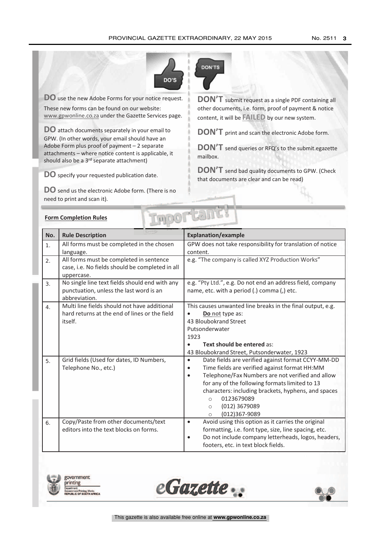

**DO** use the new Adobe Forms for your notice request.

These new forms can be found on our website: www.gpwonline.co.za under the Gazette Services page.

**DO** attach documents separately in your email to GPW. (In other words, your email should have an Adobe Form plus proof of payment – 2 separate attachments – where notice content is applicable, it should also be a 3<sup>rd</sup> separate attachment)

**DO** specify your requested publication date.

**Form Completion Rules**

**DO** send us the electronic Adobe form. (There is no need to print and scan it).



**DON'T** submit request as <sup>a</sup> single PDF containing all other documents, i.e. form, proof of payment & notice content, it will be **FAILED** by our new system.

**DON'T** print and scan the electronic Adobe form.

**DON'T** send queries or RFQ's to the submit.egazette mailbox.

**DON'T** send bad quality documents to GPW. (Check that documents are clear and can be read)

| No.              | <b>Rule Description</b>                                                                                  | <b>Explanation/example</b>                                                 |  |  |  |
|------------------|----------------------------------------------------------------------------------------------------------|----------------------------------------------------------------------------|--|--|--|
| 1.               | All forms must be completed in the chosen                                                                | GPW does not take responsibility for translation of notice                 |  |  |  |
|                  | language.                                                                                                | content.                                                                   |  |  |  |
| 2.               | All forms must be completed in sentence<br>case, i.e. No fields should be completed in all<br>uppercase. | e.g. "The company is called XYZ Production Works"                          |  |  |  |
| $\overline{3}$ . | No single line text fields should end with any                                                           | e.g. "Pty Ltd.", e.g. Do not end an address field, company                 |  |  |  |
|                  | punctuation, unless the last word is an<br>abbreviation.                                                 | name, etc. with a period (.) comma (,) etc.                                |  |  |  |
| 4.               | Multi line fields should not have additional                                                             | This causes unwanted line breaks in the final output, e.g.                 |  |  |  |
|                  | hard returns at the end of lines or the field                                                            | Do not type as:                                                            |  |  |  |
|                  | itself.                                                                                                  | 43 Bloubokrand Street                                                      |  |  |  |
|                  |                                                                                                          | Putsonderwater                                                             |  |  |  |
|                  |                                                                                                          | 1923                                                                       |  |  |  |
|                  |                                                                                                          | Text should be entered as:                                                 |  |  |  |
|                  |                                                                                                          | 43 Bloubokrand Street, Putsonderwater, 1923                                |  |  |  |
| 5.               | Grid fields (Used for dates, ID Numbers,                                                                 | Date fields are verified against format CCYY-MM-DD<br>$\bullet$            |  |  |  |
|                  | Telephone No., etc.)                                                                                     | Time fields are verified against format HH:MM                              |  |  |  |
|                  |                                                                                                          | Telephone/Fax Numbers are not verified and allow                           |  |  |  |
|                  |                                                                                                          | for any of the following formats limited to 13                             |  |  |  |
|                  |                                                                                                          | characters: including brackets, hyphens, and spaces                        |  |  |  |
|                  |                                                                                                          | 0123679089<br>$\circ$                                                      |  |  |  |
|                  |                                                                                                          | (012) 3679089<br>$\circ$<br>(012)367-9089                                  |  |  |  |
| 6.               | Copy/Paste from other documents/text                                                                     | $\circ$<br>Avoid using this option as it carries the original<br>$\bullet$ |  |  |  |
|                  | editors into the text blocks on forms.                                                                   | formatting, i.e. font type, size, line spacing, etc.                       |  |  |  |
|                  |                                                                                                          | Do not include company letterheads, logos, headers,                        |  |  |  |
|                  |                                                                                                          | footers, etc. in text block fields.                                        |  |  |  |

**Important** 







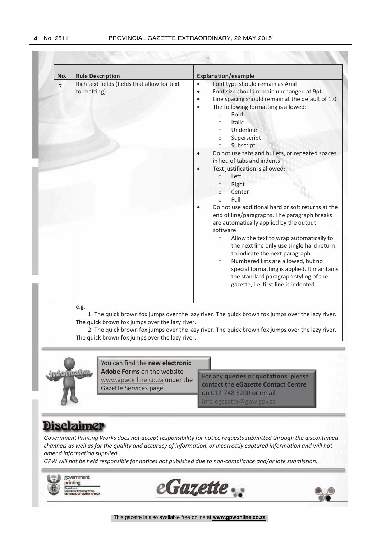| No. | <b>Rule Description</b>                                                                                                                                                                                                                                                                                          | <b>Explanation/example</b>                                                                                                                                                                                                                                                                                                                                                                                                                                                                                                                                                                                                                                                                                                                                                                                                                                                                                                                                                                                                                               |  |
|-----|------------------------------------------------------------------------------------------------------------------------------------------------------------------------------------------------------------------------------------------------------------------------------------------------------------------|----------------------------------------------------------------------------------------------------------------------------------------------------------------------------------------------------------------------------------------------------------------------------------------------------------------------------------------------------------------------------------------------------------------------------------------------------------------------------------------------------------------------------------------------------------------------------------------------------------------------------------------------------------------------------------------------------------------------------------------------------------------------------------------------------------------------------------------------------------------------------------------------------------------------------------------------------------------------------------------------------------------------------------------------------------|--|
| 7.  | Rich text fields (fields that allow for text<br>formatting)                                                                                                                                                                                                                                                      | Font type should remain as Arial<br>$\bullet$<br>Font size should remain unchanged at 9pt<br>$\bullet$<br>Line spacing should remain at the default of 1.0<br>$\bullet$<br>The following formatting is allowed:<br>$\bullet$<br><b>Bold</b><br>$\circ$<br>Italic<br>$\circ$<br>Underline<br>$\circ$<br>Superscript<br>$\circ$<br>Subscript<br>$\circ$<br>Do not use tabs and bullets, or repeated spaces<br>in lieu of tabs and indents<br>Text justification is allowed:<br>$\bullet$<br>Left<br>$\circ$<br>Right<br>$\circ$<br>Center<br>$\circ$<br>Full<br>$\circ$<br>Do not use additional hard or soft returns at the<br>end of line/paragraphs. The paragraph breaks<br>are automatically applied by the output<br>software<br>Allow the text to wrap automatically to<br>$\circ$<br>the next line only use single hard return<br>to indicate the next paragraph<br>Numbered lists are allowed, but no<br>$\circ$<br>special formatting is applied. It maintains<br>the standard paragraph styling of the<br>gazette, i.e. first line is indented. |  |
|     | e.g.<br>1. The quick brown fox jumps over the lazy river. The quick brown fox jumps over the lazy river.<br>The quick brown fox jumps over the lazy river.<br>2. The quick brown fox jumps over the lazy river. The quick brown fox jumps over the lazy river.<br>The quick brown fox jumps over the lazy river. |                                                                                                                                                                                                                                                                                                                                                                                                                                                                                                                                                                                                                                                                                                                                                                                                                                                                                                                                                                                                                                                          |  |



You can find the **new electronic Adobe Forms** on the website www.gpwonline.co.za under the Gazette Services page.

For any **queries** or **quotations**, please contact the **eGazette Contact Centre** on 012-748 6200 or email  $info$ .egazette@gpw.go

# **Disclaimer**

*Government Printing Works does not accept responsibility for notice requests submitted through the discontinued channels as well as for the quality and accuracy of information, or incorrectly captured information and will not amend information supplied.*

*GPW will not be held responsible for notices not published due to non-compliance and/or late submission.*

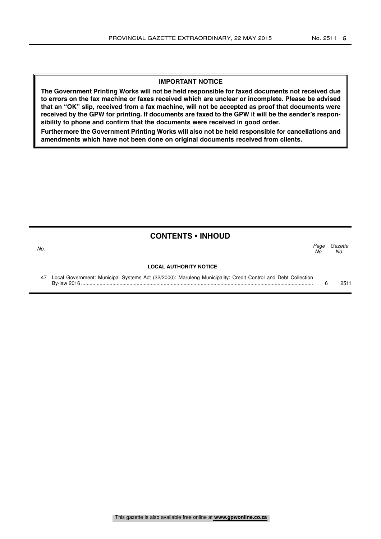#### **IMPORTANT NOTICE**

**The Government Printing Works will not be held responsible for faxed documents not received due to errors on the fax machine or faxes received which are unclear or incomplete. Please be advised that an "OK" slip, received from a fax machine, will not be accepted as proof that documents were received by the GPW for printing. If documents are faxed to the GPW it will be the sender's responsibility to phone and confirm that the documents were received in good order.**

**Furthermore the Government Printing Works will also not be held responsible for cancellations and amendments which have not been done on original documents received from clients.**

### **CONTENTS • INHOUD**

| No. |                                                                                                              | Page<br>No. | Gazette<br>No. |
|-----|--------------------------------------------------------------------------------------------------------------|-------------|----------------|
|     | <b>LOCAL AUTHORITY NOTICE</b>                                                                                |             |                |
| -47 | Local Government: Municipal Systems Act (32/2000): Maruleng Municipality: Credit Control and Debt Collection |             | 2511           |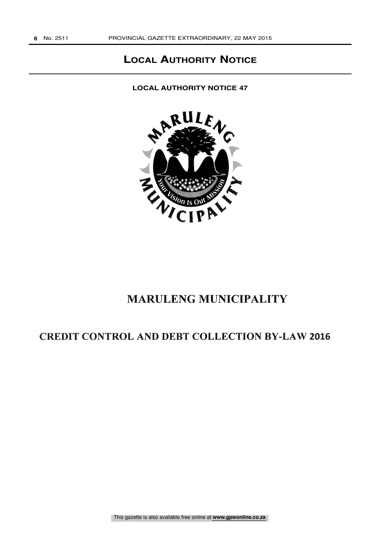## **LOCAL AUTHORITY NOTICE**

**LOCAL AUTHORITY NOTICE 47**



# MARULENG MUNICIPALITY

# CREDIT CONTROL AND DEBT COLLECTION BY-LAW 2016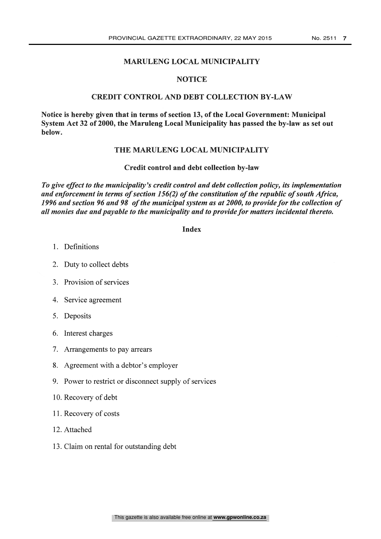#### MARULENG LOCAL MUNICIPALITY

#### **NOTICE**

#### CREDIT CONTROL AND DEBT COLLECTION BY-LAW

Notice is hereby given that in terms of section 13, of the Local Government: Municipal System Act 32 of 2000, the Maruleng Local Municipality has passed the by-law as set out below.

#### THE MARULENG LOCAL MUNICIPALITY

#### Credit control and debt collection by-law

To give effect to the municipality's credit control and debt collection policy, its implementation and enforcement in terms of section 156(2) of the constitution of the republic of south Africa, 1996 and section 96 and 98 of the municipal system as at 2000, to provide for the collection of all monies due and payable to the municipality and to provide for matters incidental thereto.

#### Index

- 1. Definitions
- 2. Duty to collect debts
- 3. Provision of services
- 4. Service agreement
- 5. Deposits
- 6. Interest charges
- 7. Arrangements to pay arrears
- 8. Agreement with a debtor's employer
- 9. Power to restrict or disconnect supply of services
- 10. Recovery of debt
- 11. Recovery of costs
- 12. Attached
- 13. Claim on rental for outstanding debt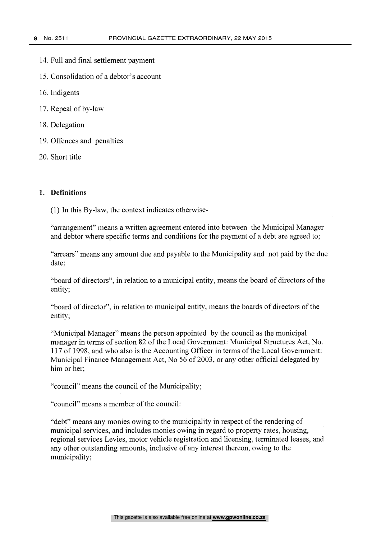- 14. Full and final settlement payment
- 15. Consolidation of a debtor's account
- 16. Indigents
- 17. Repeal of by-law
- 18. Delegation
- 19. Offences and penalties
- 20. Short title

#### 1. Definitions

(1) In this By-law, the context indicates otherwise-

"arrangement" means a written agreement entered into between the Municipal Manager and debtor where specific terms and conditions for the payment of a debt are agreed to;

"arrears" means any amount due and payable to the Municipality and not paid by the due date;

"board of directors", in relation to a municipal entity, means the board of directors of the entity;

"board of director", in relation to municipal entity, means the boards of directors of the entity;

"Municipal Manager" means the person appointed by the council as the municipal manager in terms of section 82 of the Local Government: Municipal Structures Act, No. 117 of 1998, and who also is the Accounting Officer in terms of the Local Government: Municipal Finance Management Act, No 56 of 2003, or any other official delegated by him or her;

"council" means the council of the Municipality;

"council" means a member of the council:

"debt" means any monies owing to the municipality in respect of the rendering of municipal services, and includes monies owing in regard to property rates, housing, regional services Levies, motor vehicle registration and licensing, terminated leases, and any other outstanding amounts, inclusive of any interest thereon, owing to the municipality;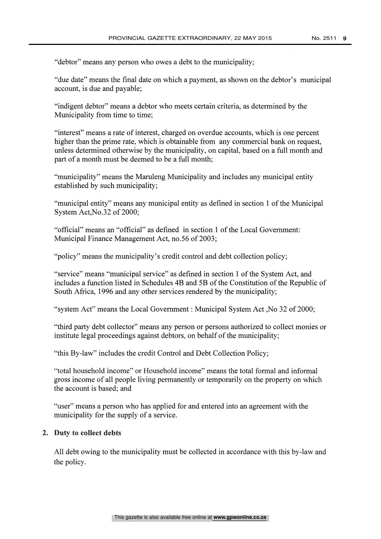"debtor" means any person who owes a debt to the municipality;

"due date" means the final date on which a payment, as shown on the debtor's municipal account, is due and payable;

"indigent debtor" means a debtor who meets certain criteria, as determined by the Municipality from time to time;

"interest" means a rate of interest, charged on overdue accounts, which is one percent higher than the prime rate, which is obtainable from any commercial bank on request, unless determined otherwise by the municipality, on capital, based on a full month and part of a month must be deemed to be a full month;

"municipality" means the Maruleng Municipality and includes any municipal entity established by such municipality;

"municipal entity" means any municipal entity as defined in section 1 of the Municipal System Act,No.32 of 2000;

"official" means an "official" as defined in section 1 of the Local Government: Municipal Finance Management Act, no.56 of 2003;

"policy" means the municipality's credit control and debt collection policy;

"service" means "municipal service" as defined in section 1 of the System Act, and includes a function listed in Schedules 4B and 5B of the Constitution of the Republic of South Africa, 1996 and any other services rendered by the municipality;

"system Act" means the Local Government : Municipal System Act ,No 32 of 2000;

"third party debt collector" means any person or persons authorized to collect monies or institute legal proceedings against debtors, on behalf of the municipality;

"this By-law" includes the credit Control and Debt Collection Policy;

"total household income" or Household income" means the total formal and informal gross income of all people living permanently or temporarily on the property on which the account is based; and

"user" means a person who has applied for and entered into an agreement with the municipality for the supply of a service.

#### 2. Duty to collect debts

All debt owing to the municipality must be collected in accordance with this by-law and the policy.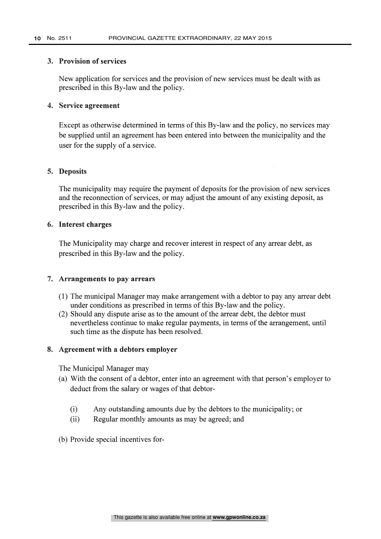#### 3. Provision of services

New application for services and the provision of new services must be dealt with as prescribed in this By-law and the policy.

#### 4. Service agreement

Except as otherwise determined in terms of this By-law and the policy, no services may be supplied until an agreement has been entered into between the municipality and the user for the supply of a service.

 $\frac{1}{\epsilon}$ 

#### 5. Deposits

The municipality may require the payment of deposits for the provision of new services and the reconnection of services, or may adjust the amount of any existing deposit, as prescribed in this By-law and the policy.

#### 6. Interest charges

The Municipality may charge and recover interest in respect of any arrear debt, as prescribed in this By-law and the policy.

#### 7. Arrangements to pay arrears

- (1) The municipal Manager may make arrangement with a debtor to pay any arrear debt under conditions as prescribed in terms of this By-law and the policy.
- (2) Should any dispute arise as to the amount of the arrear debt, the debtor must nevertheless continue to make regular payments, in terms of the arrangement, until such time as the dispute has been resolved.

#### 8. Agreement with a debtors employer

The Municipal Manager may

- (a) With the consent of a debtor, enter into an agreement with that person's employer to deduct from the salary or wages of that debtor-
	- (i) Any outstanding amounts due by the debtors to the municipality; or
	- (ii) Regular monthly amounts as may be agreed; and
- (b) Provide special incentives for-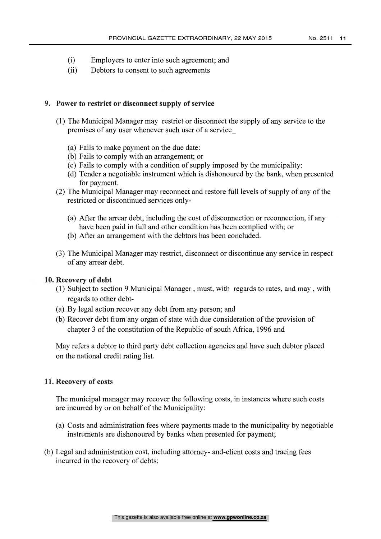- (i) Employers to enter into such agreement; and
- (ii) Debtors to consent to such agreements

#### 9. Power to restrict or disconnect supply of service

- (1) The Municipal Manager may restrict or disconnect the supply of any service to the premises of any user whenever such user of a service\_
	- (a) Fails to make payment on the due date:
	- (b) Fails to comply with an arrangement; or
	- (c) Fails to comply with a condition of supply imposed by the municipality:
	- (d) Tender a negotiable instrument which is dishonoured by the bank, when presented for payment.
- (2) The Municipal Manager may reconnect and restore full levels of supply of any of the restricted or discontinued services only-
	- (a) After the arrear debt, including the cost of disconnection or reconnection, if any have been paid in full and other condition has been complied with; or
	- (b) After an arrangement with the debtors has been concluded.
- (3) The Municipal Manager may restrict, disconnect or discontinue any service in respect of any arrear debt.

#### 10. Recovery of debt

- (1) Subject to section 9 Municipal Manager , must, with regards to rates, and may , with regards to other debt-
- (a) By legal action recover any debt from any person; and
- (b) Recover debt from any organ of state with due consideration of the provision of chapter 3 of the constitution of the Republic of south Africa, 1996 and

May refers a debtor to third party debt collection agencies and have such debtor placed on the national credit rating list.

#### 11. Recovery of costs

The municipal manager may recover the following costs, in instances where such costs are incurred by or on behalf of the Municipality:

- (a) Costs and administration fees where payments made to the municipality by negotiable instruments are dishonoured by banks when presented for payment;
- (b) Legal and administration cost, including attorney- and-client costs and tracing fees incurred in the recovery of debts;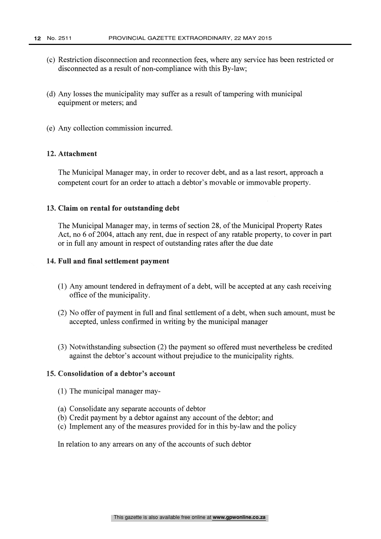- (c) Restriction disconnection and reconnection fees, where any service has been restricted or disconnected as a result of non-compliance with this By-law;
- (d) Any losses the municipality may suffer as a result of tampering with municipal equipment or meters; and
- (e) Any collection commission incurred.

#### 12. Attachment

The Municipal Manager may, in order to recover debt, and as a last resort, approach a competent court for an order to attach a debtor's movable or immovable property.

#### 13. Claim on rental for outstanding debt

The Municipal Manager may, in terms of section 28, of the Municipal Property Rates Act, no 6 of 2004, attach any rent, due in respect of any ratable property, to cover in part or in full any amount in respect of outstanding rates after the due date

#### 14. Full and final settlement payment

- (1) Any amount tendered in defrayment of a debt, will be accepted at any cash receiving office of the municipality.
- (2) No offer of payment in full and final settlement of a debt, when such amount, must be accepted, unless confirmed in writing by the municipal manager
- (3) Notwithstanding subsection (2) the payment so offered must nevertheless be credited against the debtor's account without prejudice to the municipality rights.

#### 15. Consolidation of a debtor's account

- (1) The municipal manager may-
- (a) Consolidate any separate accounts of debtor
- (b) Credit payment by a debtor against any account of the debtor; and
- (c) Implement any of the measures provided for in this by-law and the policy

In relation to any arrears on any of the accounts of such debtor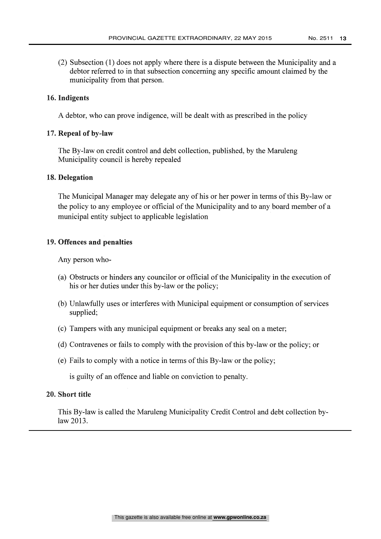(2) Subsection (1) does not apply where there is a dispute between the Municipality and a debtor referred to in that subsection concerning any specific amount claimed by the municipality from that person.

#### 16. Indigents

A debtor, who can prove indigence, will be dealt with as prescribed in the policy

#### 17. Repeal of by-law

The By-law on credit control and debt collection, published, by the Maruleng Municipality council is hereby repealed

#### 18. Delegation

The Municipal Manager may delegate any of his or her power in terms of this By-law or the policy to any employee or official of the Municipality and to any board member of a municipal entity subject to applicable legislation

#### 19. Offences and penalties

Any person who-

- (a) Obstructs or hinders any councilor or official of the Municipality in the execution of his or her duties under this by-law or the policy;
- (b) Unlawfully uses or interferes with Municipal equipment or consumption of services supplied;
- (c) Tampers with any municipal equipment or breaks any seal on a meter;
- (d) Contravenes or fails to comply with the provision of this by-law or the policy; or
- (e) Fails to comply with a notice in terms of this By-law or the policy;

is guilty of an offence and liable on conviction to penalty.

#### 20. Short title

This By-law is called the Maruleng Municipality Credit Control and debt collection bylaw 2013.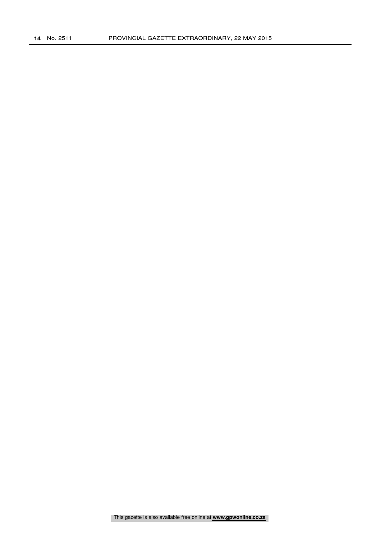This gazette is also available free online at **www.gpwonline.co.za**